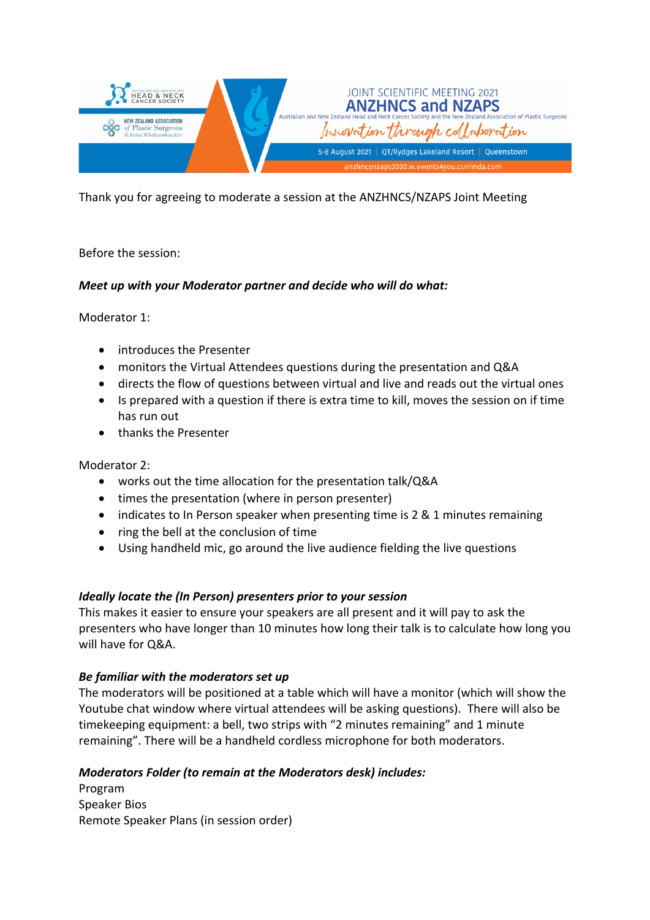

Thank you for agreeing to moderate a session at the ANZHNCS/NZAPS Joint Meeting

# Before the session:

# *Meet up with your Moderator partner and decide who will do what:*

Moderator 1:

- introduces the Presenter
- monitors the Virtual Attendees questions during the presentation and Q&A
- directs the flow of questions between virtual and live and reads out the virtual ones
- Is prepared with a question if there is extra time to kill, moves the session on if time has run out
- thanks the Presenter

Moderator 2:

- works out the time allocation for the presentation talk/Q&A
- times the presentation (where in person presenter)
- indicates to In Person speaker when presenting time is 2 & 1 minutes remaining
- ring the bell at the conclusion of time
- Using handheld mic, go around the live audience fielding the live questions

### *Ideally locate the (In Person) presenters prior to your session*

This makes it easier to ensure your speakers are all present and it will pay to ask the presenters who have longer than 10 minutes how long their talk is to calculate how long you will have for Q&A.

### *Be familiar with the moderators set up*

The moderators will be positioned at a table which will have a monitor (which will show the Youtube chat window where virtual attendees will be asking questions). There will also be timekeeping equipment: a bell, two strips with "2 minutes remaining" and 1 minute remaining". There will be a handheld cordless microphone for both moderators.

### *Moderators Folder (to remain at the Moderators desk) includes:*

Program Speaker Bios Remote Speaker Plans (in session order)